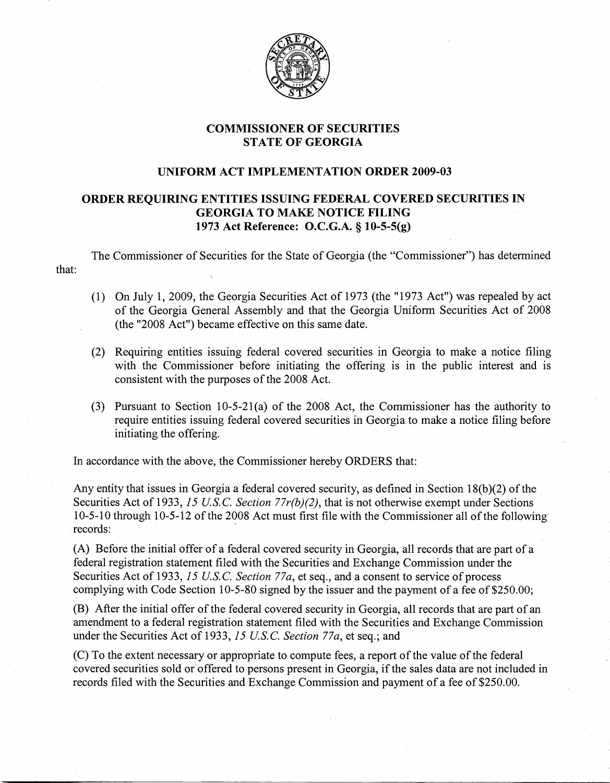

## COMMISSIONER OF SECURITIES STATE OF GEORGIA

## UNIFORM ACT IMPLEMENTATION ORDER 2009-03

## ORDER REQUIRING ENTITIES ISSUING FEDERAL COVERED SECURITIES IN GEORGIA TO MAKE NOTICE FILING 1973 Act Reference: O.C.G.A. § 10-5-5(g)

The Commissioner of Securities for the State of Georgia (the "Commissioner") has determined that:

- (1) On July 1, 2009, the Georgia Securities Act of 1973 (the "1973 Act") was repealed by act of the Georgia General Assembly and that the Georgia Uniform Securities Act of 2008 (the "2008 Act") became effective on this same date.
- $(2)$  Requiring entities issuing federal covered securities in Georgia to make a notice filing with the Commissioner before initiating the offering is in the public interest and is consistent with the purposes of the 2008 Act.
- (3) Pursuant to Section 10-5-21(a)of the 2008 Act, the Commissioner has the authority to require entities issuing federal covered securities in Georgia to make a notice filing before initiating the offering.

In accordance with the above, the Commissioner hereby ORDERS that:

Any entity that issues in Georgia a federal covered security, as defined in Section  $18(b)(2)$  of the Securities Act of 1933, 15 *U.S.C. Section 77r(b)(2)*, that is not otherwise exempt under Sections 10-5-10 through 10-5-12 of the 2008 Act must first file with the Commissioner all of the following records:

(A) Before the initial offer of a federal covered security in Georgia, all records that are part of a federal registration statement filed with the Securities and Exchange Commission under the Securities Act of 1933, 15 *U.S.C. Section 77a*, et seq., and a consent to service of process complying with Code Section 10-5-80 signed by the issuer and the payment of a fee of  $$250.00$ ;

(B) After the initial offer of the federal covered security in Georgia, all records that are part of an amendment to a federal registration statement filed with the Securities and Exchange Commission under the Securities Act of 1933,15 *U.S.C. Section 77a,* et seq.; and

(C) To the extent necessary or appropriate to compute fees, a report of the value of the federal covered securities sold or offered to persons present in Georgia, if the sales data are not included in records filed with the Securities and Exchange Commission and payment of a fee of \$250.00.